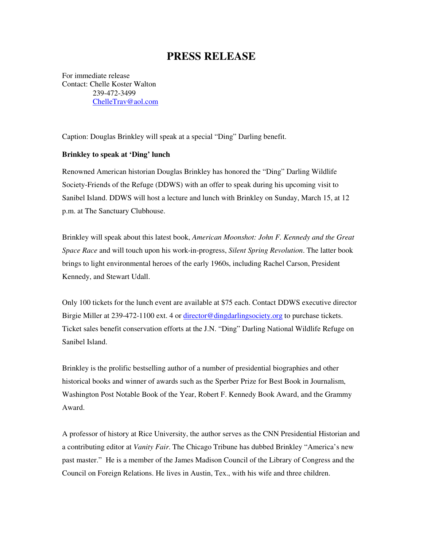## **PRESS RELEASE**

For immediate release Contact: Chelle Koster Walton 239-472-3499 ChelleTrav@aol.com

Caption: Douglas Brinkley will speak at a special "Ding" Darling benefit.

## **Brinkley to speak at 'Ding' lunch**

Renowned American historian Douglas Brinkley has honored the "Ding" Darling Wildlife Society-Friends of the Refuge (DDWS) with an offer to speak during his upcoming visit to Sanibel Island. DDWS will host a lecture and lunch with Brinkley on Sunday, March 15, at 12 p.m. at The Sanctuary Clubhouse.

Brinkley will speak about this latest book, *American Moonshot: John F. Kennedy and the Great Space Race* and will touch upon his work-in-progress, *Silent Spring Revolution*. The latter book brings to light environmental heroes of the early 1960s, including Rachel Carson, President Kennedy, and Stewart Udall.

Only 100 tickets for the lunch event are available at \$75 each. Contact DDWS executive director Birgie Miller at 239-472-1100 ext. 4 or director@dingdarlingsociety.org to purchase tickets. Ticket sales benefit conservation efforts at the J.N. "Ding" Darling National Wildlife Refuge on Sanibel Island.

Brinkley is the prolific bestselling author of a number of presidential biographies and other historical books and winner of awards such as the Sperber Prize for Best Book in Journalism, Washington Post Notable Book of the Year, Robert F. Kennedy Book Award, and the Grammy Award.

A professor of history at Rice University, the author serves as the CNN Presidential Historian and a contributing editor at *Vanity Fair*. The Chicago Tribune has dubbed Brinkley "America's new past master." He is a member of the James Madison Council of the Library of Congress and the Council on Foreign Relations. He lives in Austin, Tex., with his wife and three children.